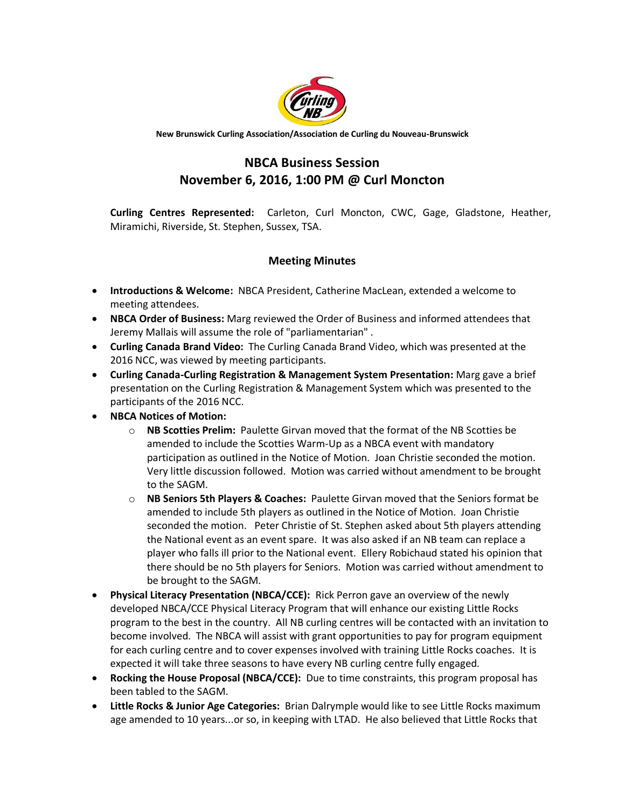

**New Brunswick Curling Association/Association de Curling du Nouveau-Brunswick**

## **NBCA Business Session November 6, 2016, 1:00 PM @ Curl Moncton**

**Curling Centres Represented:** Carleton, Curl Moncton, CWC, Gage, Gladstone, Heather, Miramichi, Riverside, St. Stephen, Sussex, TSA.

## **Meeting Minutes**

- **Introductions & Welcome:** NBCA President, Catherine MacLean, extended a welcome to meeting attendees.
- **NBCA Order of Business:** Marg reviewed the Order of Business and informed attendees that Jeremy Mallais will assume the role of "parliamentarian" .
- **Curling Canada Brand Video:** The Curling Canada Brand Video, which was presented at the 2016 NCC, was viewed by meeting participants.
- **Curling Canada-Curling Registration & Management System Presentation:** Marg gave a brief presentation on the Curling Registration & Management System which was presented to the participants of the 2016 NCC.
- **NBCA Notices of Motion:** 
	- o **NB Scotties Prelim:** Paulette Girvan moved that the format of the NB Scotties be amended to include the Scotties Warm-Up as a NBCA event with mandatory participation as outlined in the Notice of Motion. Joan Christie seconded the motion. Very little discussion followed. Motion was carried without amendment to be brought to the SAGM.
	- o **NB Seniors 5th Players & Coaches:** Paulette Girvan moved that the Seniors format be amended to include 5th players as outlined in the Notice of Motion. Joan Christie seconded the motion. Peter Christie of St. Stephen asked about 5th players attending the National event as an event spare. It was also asked if an NB team can replace a player who falls ill prior to the National event. Ellery Robichaud stated his opinion that there should be no 5th players for Seniors. Motion was carried without amendment to be brought to the SAGM.
- **Physical Literacy Presentation (NBCA/CCE):** Rick Perron gave an overview of the newly developed NBCA/CCE Physical Literacy Program that will enhance our existing Little Rocks program to the best in the country. All NB curling centres will be contacted with an invitation to become involved. The NBCA will assist with grant opportunities to pay for program equipment for each curling centre and to cover expenses involved with training Little Rocks coaches. It is expected it will take three seasons to have every NB curling centre fully engaged.
- **Rocking the House Proposal (NBCA/CCE):** Due to time constraints, this program proposal has been tabled to the SAGM.
- **Little Rocks & Junior Age Categories:** Brian Dalrymple would like to see Little Rocks maximum age amended to 10 years...or so, in keeping with LTAD. He also believed that Little Rocks that